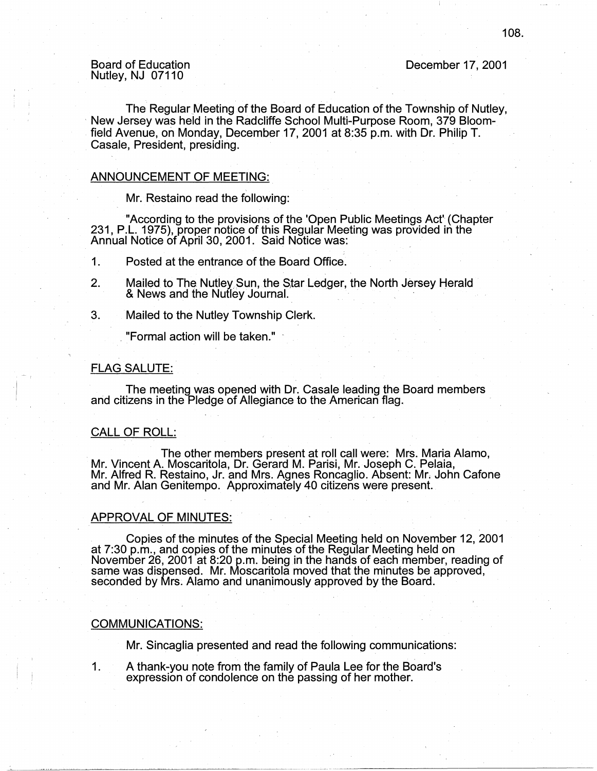### Board of Education Nutley, NJ 07110

December 17, 2001

The Regular Meeting of the Board of Education of the Township of Nutley, New Jersey was held in the Radcliffe School Multi-Purpose Room, 379 Bloomfield Avenue, on Monday, December 17, 2001 at 8:35 p.m. with Dr. Philip T. Casale, President, presiding.

#### ANNOUNCEMENT OF MEETING:

Mr. Restaino read the following:

"According to the provisions of the 'Open Public Meetings Act' (Chapter 231, P.L. 1975), proper notice of this Regular Meeting was provided in the Annual Notice of April 30, 2001. Said Notice was: .

1. Posted at the entrance of the Board Office.

- 2. Mailed to The Nutley Sun, the Star Ledger, the North Jersey Herald & News and the Nutley Journal.
- 3. Mailed to the Nutley Township Clerk .

. "Formal action will be taken."

#### FLAG SALUTE:

The meeting was opened with Dr. Casale leading the Board members and citizens in the Pledge of Allegiance to the American flag.

#### CALL OF ROLL:

The other members present at roll call were: Mrs. Maria Alamo, Mr. Vincent A. Moscaritola, Dr. Gerard M. Parisi, Mr. Joseph C. Pelaia, Mr. Alfred R. Restaino, Jr. and Mrs. Agnes Roncaglio. Absent: Mr. John Catone and Mr. Alan Genitempo. Approximately 40 citizens were present.

#### APPROVAL OF MINUTES:

. Copies of the minutes of the Special Meeting held on November 12, 2001 at 7:30 p.m., and copies of the minutes of the Regular Meeting held on November 26, 2001 at 8:20 p.m. being in the hands of each member, reading of same was dispensed. Mr. Moscaritola moved that the minutes be approved, seconded by Mrs. Alamo and unanimously approved by the Board.

#### **COMMUNICATIONS:**

Mr. Sincaglia presented and read the following communications:

1. A thank-you note from the family of Paula Lee for the Board's expression of condolence on the passing of her mother.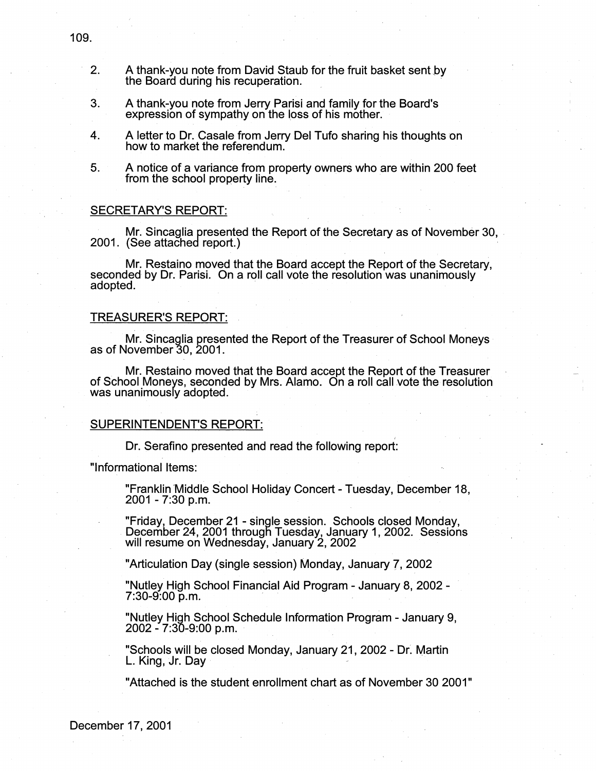- 2. A thank-you note from David Staub for the fruit basket sent by the Board during his recuperation.
- 3. A thank-you note from Jerry Parisi and family for the Board's expression of sympathy on the loss of his mother.
- 4. A letter to Dr. Casale from Jerry Del Tufo sharing his thoughts on how to market the referendum.
- 5. A notice of a variance from property owners who are within 200 feet from the school property line.

#### SECRETARY'S REPORT:

Mr. Sincaglia presented the Report of the Secretary as of November 30, .<br>2001. (See attached report.)

Mr. Restaino moved that the Board accept the Report of the Secretary, seconded by Dr. Parisi. On a roll call vote the resolution was unanimously adopted.

#### TREASURER'S REPORT:

Mr. Sincaglia presented the Report of the Treasurer of School Moneys as of November 30, 2001.

. Mr. Restaino moved that the Board accept the Report of the Treasurer of School Moneys, seconded by Mrs. Alamo. On a roll call vote the resolution was unanimously adopted.

#### SUPERINTENDENT'S REPORT:

Dr. Serafino presented and read the following report:

"Informational Items:

"Franklin Middle School Holiday Concert - Tuesday, December 18, 2001 - 7:30 p.m.

;

"Friday, December 21 - single session. Schools closed Monday, December 24, 2001 through Tuesday, January 1, 2002. Sessions will resume on Wednesday, January 2, 2002

"Articulation Day (single session) Monday, January?, 2002

"Nutley High School Financial Aid Program - January 8, 2002 -<br>7:30-9:00 p.m.

"Nutley High School Schedule Information Program - January 9,  $2002 - 7:30 - 9:00 \text{ p.m.}$ 

"Schools will be closed Monday, January 21, 2002 - Dr: Martin L. King, Jr. Dav

"Attached is the student enrollment chart as of November 30 2001"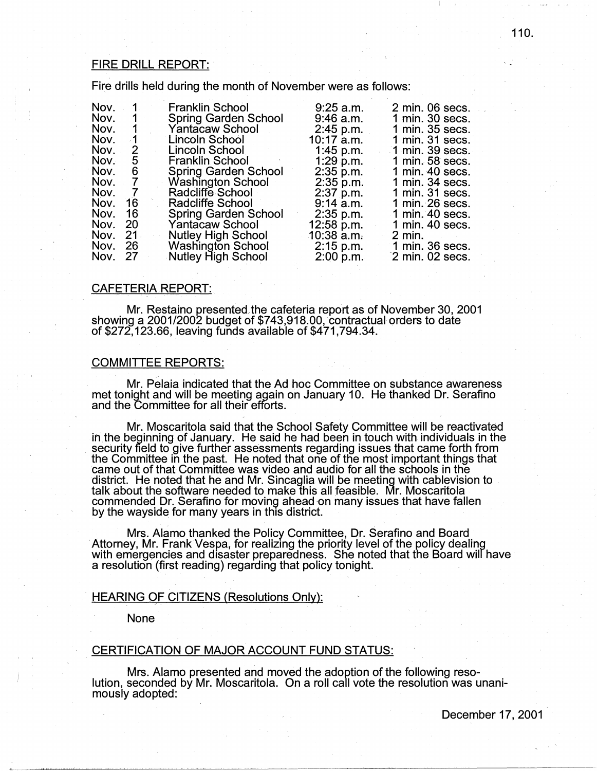## FIRE DRILL REPORT:

Fire drills held during the month of November were as follows:

| Nov. | 1.             | <b>Franklin School</b>      | $9:25$ a.m.  | 2 min. 06 secs.   |
|------|----------------|-----------------------------|--------------|-------------------|
| Nov. | 1.             | <b>Spring Garden School</b> | $9:46$ a.m.  | 1 min. 30 secs.   |
| Nov. | $\mathbf{1}$   | Yantacaw School             | $2:45$ p.m.  | 1 min. 35 secs.   |
| Nov. | $-1$           | Lincoln School              | $10:17$ a.m. | 1 min. 31 secs.   |
| Nov. | 2              | Lincoln School              | 1:45 p.m.    | 1 min. 39 secs.   |
| Nov. | 5              | <b>Franklin School</b>      | $1:29$ p.m.  | 1 min. 58 secs.   |
| Nov. | 6              | <b>Spring Garden School</b> | 2:35 p.m.    | 1 min. 40 secs.   |
| Nov. | $\overline{7}$ | Washington School           | $2:35$ p.m.  | 1 min. 34 secs.   |
| Nov. | $\overline{7}$ | Radcliffe School            | 2:37 p.m.    | 1 min. 31 secs.   |
| Nov. | 16             | Radcliffe School            | $9:14$ a.m.  | 1 min. 26 secs.   |
| Nov. | 16             | <b>Spring Garden School</b> | $2:35$ p.m.  | 1 min. 40 secs.   |
| Nov. | 20             | Yantacaw School             | $12:58$ p.m. | 1 min. 40 secs.   |
| Nov. | 21             | <b>Nutley High School</b>   | 10:38 a.m.   | $2 \text{ min}$ . |
| Nov. | 26             | <b>Washington School</b>    | $2:15$ p.m.  | 1 min. 36 secs.   |
| Nov. | - 27           | Nutley High School          | $2:00$ p.m.  | 2 min. 02 secs.   |

#### CAFETERIA REPORT:

Mr. Restaino presented"the cafeteria report as of November 30, 2001 showing a 2001/2002 budget of \$743,918.00, contractual orders to date of \$272,123.66, leaving funds available of \$471,794.34.

#### COMMITTEE REPORTS:

Mr. Pelaia indicated that the Ad hoc Committee on substance awareness met tonight and will be meeting again on January 10. He thanked Dr. Serafino and the Committee for all their efforts.

Mr. Moscaritola said that the School Safety Committee will be reactivated in the beginning of January. He said he had been in touch with individuals in the security field to give further assessments regarding issues that came forth from the Committee in the past. He noted that one of the most important things that<br>came out of that Committee was video and audio for all the schools in the district. He noted that he and Mr. Sincaglia will be meeting with cablevision to talk about the software needed to make this all feasible. Mr. Moscaritola commended Dr. Serafino for moving ahead on many issues that have fallen by the wayside for many years in this district.

Mrs. Alamo thanked the Policy Committee, Dr. Serafino and Board Attorney, Mr. Frank Vespa, for realizing the priority level of the policy dealing with emergencies and disaster preparedness. She noted that the Board wilf have a resolution (first reading) regarding that policy tonight. .

### HEARING OF CITIZENS (Resolutions Only):

None

# CERTIFICATION OF MAJOR ACCOUNT FUND STATUS:

Mrs. Alamo presented and moved the adoption of the following reso- lution, seconded by Mr. Moscaritola. On a roll call vote the resolution was unanimously adopted: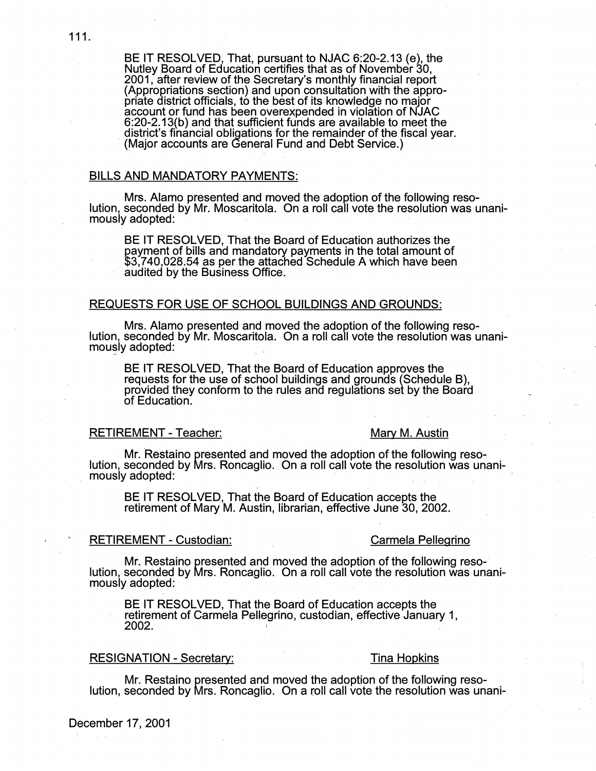BE IT RESOLVED, That, pursuant to NJAC 6:20-2.13 (e), the . Nutley Board of Education certifies that as of November 30, 2001, after review of the Secretary's monthly financial report (Appropriations section) and upon consultation with the appropriate district officials, to the best of its knowledge no major account or fund has been overexpended in violation of NJAC 6:20-2.13(b) and that sufficient funds are available to meet the district's financial obligations for the remainder of the fiscal year. (Major accounts are General Fund and Debt Service.)

### BILLS AND MANDATORY PAYMENTS:

. Mrs. Alamo presented and moved the adoption of the following reso- lution, seconded by Mr. Moscaritola. On a roll call vote the resolution was unanimously adopted:

BE IT RESOLVED, That the Board of Education authorizes the payment of bills and mandatory payments in the total amount of \$3,740,028.54 as per the attached Schedule A which have been audited by the Business Office.

#### REQUESTS FOR USE OF SCHOOL BUILDINGS AND GROUNDS:

Mrs. Alamo presented and moved the adoption of the following reso- lution, seconded by Mr. Moscaritola. On a roll call vote the resolution was unanimously adopted:

BE IT RESOLVED, That the Board of Education approves the requests for the use of school buildings and grounds (Schedule B), provided they conform to the rules and regulations set by the Board of Education. .

### RETIREMENT - Teacher: Mary M. Austin

Mr. Restaino presented and moved the adoption of the following resolution, seconded by Mrs. Roncaglio .. On a roll call vote the resolution was unanimously adopted:

BE IT RESOLVED, That the Board of Education accepts the retirement of Mary M. Austin, librarian, effective June 30, 2002.

#### RETIREMENT - Custodian: Carmela Pellegrino

Mr. Restaino presented and moved the adoption of the following reso-<br>· lution, seconded by Mrs. Roncaglio. On a roll call vote the resolution was unanimously adopted:

BE IT RESOLVED, That the Board of Education accepts the retirement of Carmela Pellegrino, custodian, effective January 1, **2002.** <sup>I</sup>

### RESIGNATION - Secretary: Tina Hopkins

Mr. Restaino presented and moved the adoption of the following reso- lution, seconded by Mrs. Roncaglio. On a roll call vote the resolution was unani-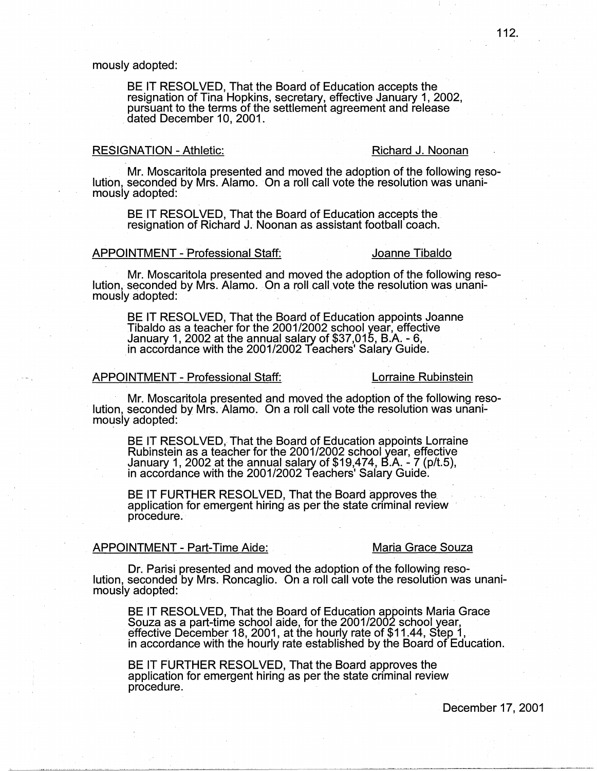### mously adopted:

BE IT RESOLVED, That the Board of Education accepts the resignation of Tina Hopkins, secretary, effective January 1, 2002, pursuant to the terms of the settlement agreement and release dated December 10, 2001..

### RESIGNATION - Athletic: Richard J. Noonan

. Mr. Moscaritola presented and moved the adoption of the following reso- lution, seconded by Mrs. Alamo. On a roll call vote the resolution was unanimously adopted:

BE IT RESOLVED, That the Board of Education accepts the. resignation of Richard J. Noonan as assistant football coach.

#### APPOINTMENT - Professional Staff: Joanne Tibaldo

Mr. Moscaritola presented and moved the adoption of the following reso- lution, seconded by Mrs. Alamo. On a roll call vote the resolution was unanimously adopted:

BE IT RESOLVED, That the Board of Education appoints Joanne Tibaldo as a teacher for the 2001/2002 school year, effective January 1, 2002 at the annual salary of \$37,015, B.A. - 6, in accordance with the 2001/2002 Teachers' Salary Guide.

### APPOINTMENT- Professional Staff: Lorraine Rubinstein

Mr. Moscaritola presented and moved the adoption of the following reso- lution, seconded by Mrs. Alamo. On a roll call vote the resolution was unanimously adopted:

BE IT RESOLVED, That the Board of Education appoints Lorraine Rubinstein as a teacher for the 2001/2002 school year, effective January 1, 2002 at the annual salary of \$19,474, B.A. - 7 (p/t.5), in accordance with the 2001/2002 Teachers' Salary Guide.

BE IT FURTHER RESOLVED, That the Board approves the.<br>. application for emergent hiring as per the state criminal review procedure.

#### APPOINTMENT - Part-Time Aide: Maria Grace Souza

Dr. Parisi presented and moved the adoption of the following reso- lution, seconded by Mrs. Roncaglio. On a roll call vote the resolution was unanimously adopted:

BE IT RESOLVED, That the Board of Education appoints Maria Grace<br>Souza as a part-time school aide, for the 2001/2002 school year, effective December 18, 2001, at the hourly rate of \$11.44, Step 1, in accordance with the hourly rate established by the Board of Education.

BE IT FURTHER RESOLVED, That the Board approves the application for emergent hiring as per the state criminal review procedure.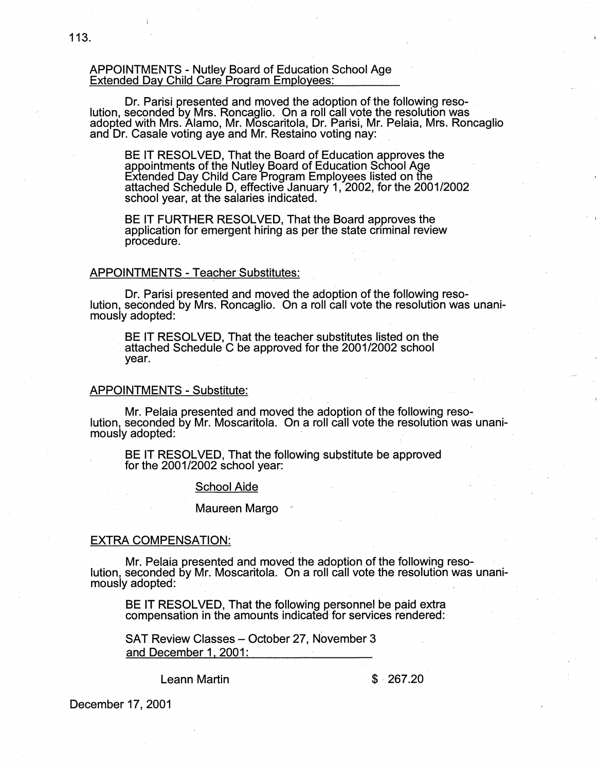#### APPOINTMENTS - Nutley Board of Education School Age Extended Day Child Care Program Employees:

Dr. Parisi presented and moved the adoption of the following reso- . lution, seconded by Mrs. Roncaglio. On a roll call vote the resolution was adopted with Mrs. Alamo, Mr. Moscaritola, Dr. Parisi, Mr. Pelaia, Mrs. Roncaglio<br>and Dr. Casale voting aye and Mr. Restaino voting nay:

BE IT RESOLVED, That the Board of Education approves the appointments of the Nutley Board of Education School Age Extended Day Child Care Program Employees listed on the attached Schedule D, effective January 1, 2002, for the 2001/2002 school year, at the salaries indicated.

BE IT FURTHER RESOLVED, That the Board approves the application for emergent hiring as per the state criminal review procedure.

### APPOINTMENTS - Teacher Substitutes:

Dr. Parisi presented and moved the adoption of the following reso- lution, seconded by Mrs. Roncaglio. On a roll call vote the resolution was unanimously adopted:

BE IT RESOLVED, That the teacher substitutes listed on the attached Schedule C be approved for the 2001/2002 school year.

#### **APPOINTMENTS.: Substitute:**

Mr. Pelaia presented and moved the adoption of the following reso- lution, seconded by Mr. Moscaritola. On a roll call vote the resolution was unanimously adopted:

BE IT RESOLVED, That the following substitute be approved for the 2001/2002 school year:

#### School Aide

#### **Maureen Margo**

#### EXTRA COMPENSATION:

Mr. Pelaia presented and moved the adoption of the following reso-<br>lution, seconded by Mr. Moscaritola. On a roll call vote the resolution was unanimously adopted:

BE IT RESOLVED, That the following personnel be paid extra compensation in the amounts indicated-for services rendered:

SAT Review Classes - October 27, November 3 and December 1, 2001:

Leann Martin

#### $$267.20$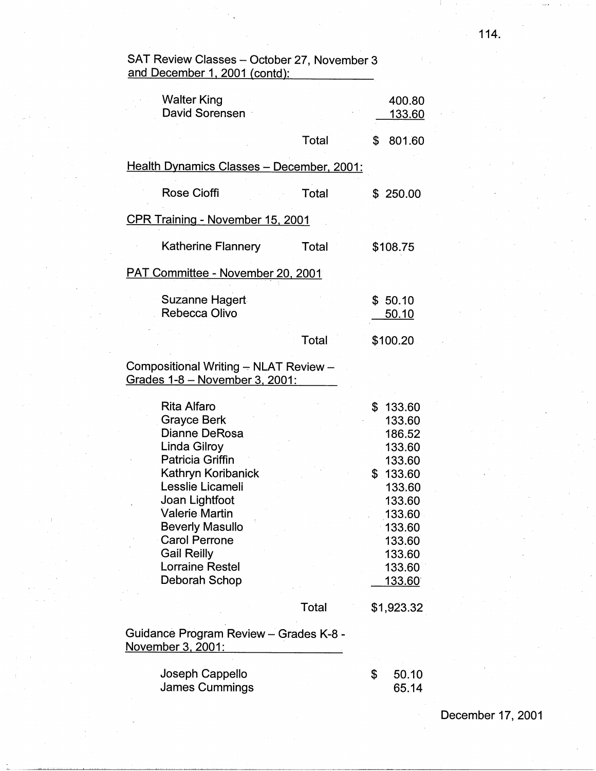| and December 1, 2001 (contd):                                                                                                                                                                                                                                                                         |              |                                                                                                                                                             |
|-------------------------------------------------------------------------------------------------------------------------------------------------------------------------------------------------------------------------------------------------------------------------------------------------------|--------------|-------------------------------------------------------------------------------------------------------------------------------------------------------------|
| <b>Walter King</b><br><b>David Sorensen</b>                                                                                                                                                                                                                                                           |              | 400.80<br><u>133.60</u>                                                                                                                                     |
|                                                                                                                                                                                                                                                                                                       | Total        | \$<br>801.60                                                                                                                                                |
| Health Dynamics Classes - December, 2001:                                                                                                                                                                                                                                                             |              |                                                                                                                                                             |
| <b>Rose Cioffi</b>                                                                                                                                                                                                                                                                                    | <b>Total</b> | \$250.00                                                                                                                                                    |
| <b>CPR Training - November 15, 2001</b>                                                                                                                                                                                                                                                               |              |                                                                                                                                                             |
| <b>Katherine Flannery</b>                                                                                                                                                                                                                                                                             | Total        | \$108.75                                                                                                                                                    |
| PAT Committee - November 20, 2001                                                                                                                                                                                                                                                                     |              |                                                                                                                                                             |
| Suzanne Hagert<br>Rebecca Olivo                                                                                                                                                                                                                                                                       |              | \$50.10<br>50.10                                                                                                                                            |
|                                                                                                                                                                                                                                                                                                       | Total        | \$100.20                                                                                                                                                    |
| Compositional Writing - NLAT Review -<br>Grades 1-8 - November 3, 2001:                                                                                                                                                                                                                               |              |                                                                                                                                                             |
| <b>Rita Alfaro</b><br><b>Grayce Berk</b><br>Dianne DeRosa<br>Linda Gilroy<br><b>Patricia Griffin</b><br>Kathryn Koribanick<br>Lesslie Licameli<br>Joan Lightfoot<br>Valerie Martin<br><b>Beverly Masullo</b><br><b>Carol Perrone</b><br><b>Gail Reilly</b><br><b>Lorraine Restel</b><br>Deborah Schop |              | \$<br>133.60<br>133.60<br>186.52<br>133.60<br>133.60<br>\$<br>133.60<br>133.60<br>133.60<br>133.60<br>133.60<br>133.60<br>133.60<br>133.60<br><u>133.60</u> |
|                                                                                                                                                                                                                                                                                                       | Total        | \$1,923.32                                                                                                                                                  |
| Guidance Program Review - Grades K-8 -<br>November 3, 2001:                                                                                                                                                                                                                                           |              |                                                                                                                                                             |
| Joseph Cappello<br><b>James Cummings</b>                                                                                                                                                                                                                                                              |              | \$<br>50.10<br>65.14                                                                                                                                        |

SAT Review Classes - October 27, November 3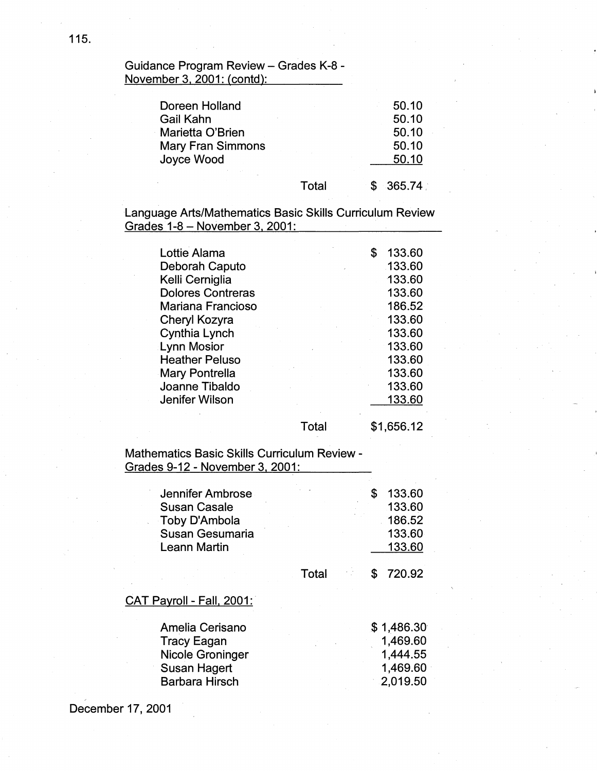Guidance Program Review - Grades K-8 -November 3, 2001: (contd):

| Doreen Holland                |       | 50.10          |
|-------------------------------|-------|----------------|
| Gail Kahn<br>Marietta O'Brien |       | 50.10<br>50.10 |
| <b>Mary Fran Simmons</b>      |       | 50.10          |
| Joyce Wood                    |       | 50.10          |
|                               | Total | $-365.74$      |

Language Arts/Mathematics Basic Skills Curriculum Review Grades 1-8 - November 3, 2001:

| Lottie Alama<br>Deborah Caputo<br>Kelli Cerniglia<br><b>Dolores Contreras</b><br>Mariana Francioso<br>Cheryl Kozyra<br>Cynthia Lynch<br><b>Lynn Mosior</b><br><b>Heather Peluso</b><br>Mary Pontrella<br>Joanne Tibaldo<br>Jenifer Wilson |       | S | 133.60<br>133.60<br>133.60<br>133.60<br>186.52<br>133.60<br>133.60<br>133.60<br>133.60<br>133.60<br>133.60<br>133.60 |
|-------------------------------------------------------------------------------------------------------------------------------------------------------------------------------------------------------------------------------------------|-------|---|----------------------------------------------------------------------------------------------------------------------|
|                                                                                                                                                                                                                                           | Total |   | \$1,656.12                                                                                                           |

Mathematics Basic Skills Curriculum Review - Grades 9-12 - November 3, 2001:

| Jennifer Ambrose<br><b>Susan Casale</b> |       | 133.60<br>133.60 |
|-----------------------------------------|-------|------------------|
| Toby D'Ambola<br>Susan Gesumaria        |       | 186.52<br>133.60 |
| <b>Leann Martin</b>                     |       | 133.60           |
|                                         |       |                  |
|                                         | Total | 720.92           |
| CAT Payroll - Fall, 2001:               |       |                  |

| Amelia Cerisano       | \$1,486.30 |
|-----------------------|------------|
| <b>Tracy Eagan</b>    | 1,469.60   |
| Nicole Groninger      | 1,444.55   |
| Susan Hagert          | 1,469.60   |
| <b>Barbara Hirsch</b> | 2,019.50   |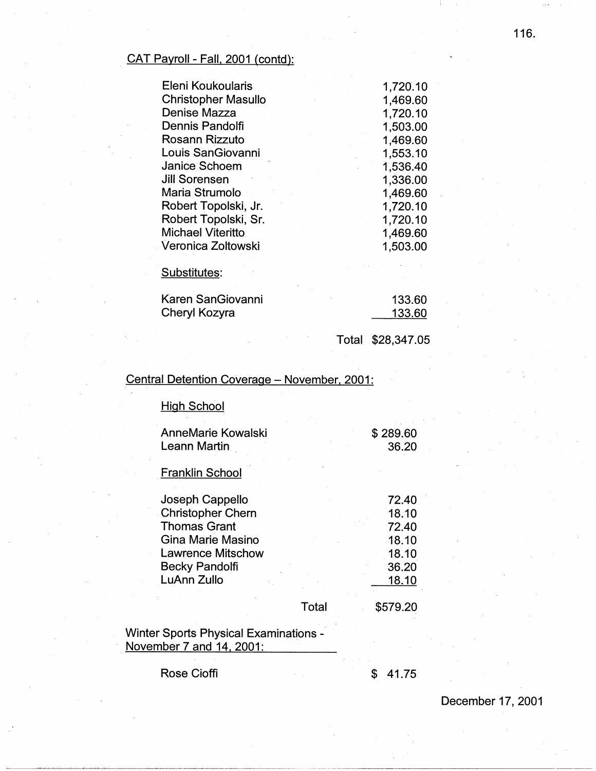# CAT Payroll - Fall, 2001 (contd):

| Eleni Koukoularis          | 1,720.10 |
|----------------------------|----------|
| <b>Christopher Masullo</b> | 1,469.60 |
| Denise Mazza               | 1,720.10 |
| Dennis Pandolfi            | 1,503.00 |
| Rosann Rizzuto             | 1,469.60 |
| Louis SanGiovanni          | 1,553.10 |
| Janice Schoem              | 1,536.40 |
| <b>Jill Sorensen</b>       | 1,336.00 |
| Maria Strumolo             | 1,469.60 |
| Robert Topolski, Jr.       | 1,720.10 |
| Robert Topolski, Sr.       | 1,720.10 |
| <b>Michael Viteritto</b>   | 1,469.60 |
| Veronica Zoltowski         | 1,503.00 |

Substitutes:

| Karen SanGiovanni | 133.60 |
|-------------------|--------|
| Cheryl Kozyra     | 133.60 |

Total \$28,347.05

# Central Detention Coverage - November, 2001:

| AnneMarie Kowalski       |       | \$289.60 |
|--------------------------|-------|----------|
| <b>Leann Martin</b>      |       | 36.20    |
| <b>Franklin School</b>   |       |          |
| Joseph Cappello          |       | 72.40    |
| <b>Christopher Chern</b> |       | 18.10    |
| Thomas Grant             |       | 72.40    |
| Gina Marie Masino        |       | 18.10    |
| <b>Lawrence Mitschow</b> |       | 18.10    |
| <b>Becky Pandolfi</b>    |       | 36.20    |
| LuAnn Zullo              |       | 18.10    |
|                          | Total | \$579.20 |

Winter Sports Physical Examinations - November 7 and 14, 2001:

Rose Cioffi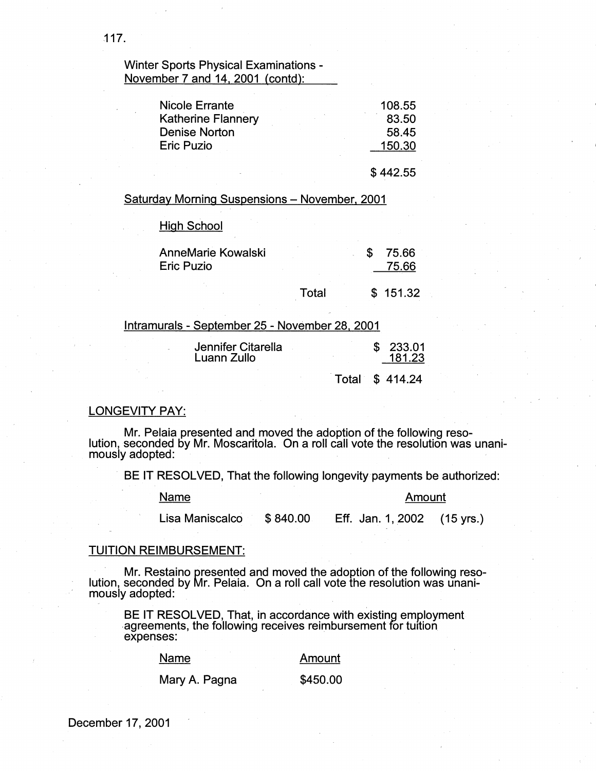# Winter Sports Physical Examinations - November 7 and 14, 2001 (contd):

| <b>Nicole Errante</b>     | 108.55 |
|---------------------------|--------|
| <b>Katherine Flannery</b> | 83.50  |
| Denise Norton             | 58.45  |
| <b>Eric Puzio</b>         | 150.30 |
|                           |        |

\$ 442.55

Saturday Morning Suspensions - November, 2001

High School

| <b>AnneMarie Kowalski</b><br>Eric Puzio |       | 75.66<br>75.66 |  |
|-----------------------------------------|-------|----------------|--|
|                                         | Total | \$151.32       |  |

| Intramurals - September 25 - November 28, 2001 |  |                  |
|------------------------------------------------|--|------------------|
| Jennifer Citarella<br>Luann Zullo              |  | 233.01<br>181.23 |
|                                                |  | Total \$414.24   |

### LONGEVITY PAY:

Mr. Pelaia presented and moved the adoption of the following resolution, seconded by Mr. Moscaritola. On a roll call vote the resolution was unanimously adopted:

BE IT RESOLVED, That the following longevity payments be authorized:

Name Amount

Lisa Maniscalco \$ 840.00 Eff. Jan. 1, 2002 (15 yrs.)

#### TUITION REIMBURSEMENT:

· Mr. Restaino presented and moved the adoption of the following reso- lution, seconded by Mr. Pelaia. On a roll call vote the resolution was unanimously adopted: .

BE IT RESOLVED, That, in accordance with existing employment agreements, the following receives reimbursement for tuition expenses:

| Name          | Amount   |
|---------------|----------|
| Mary A. Pagna | \$450.00 |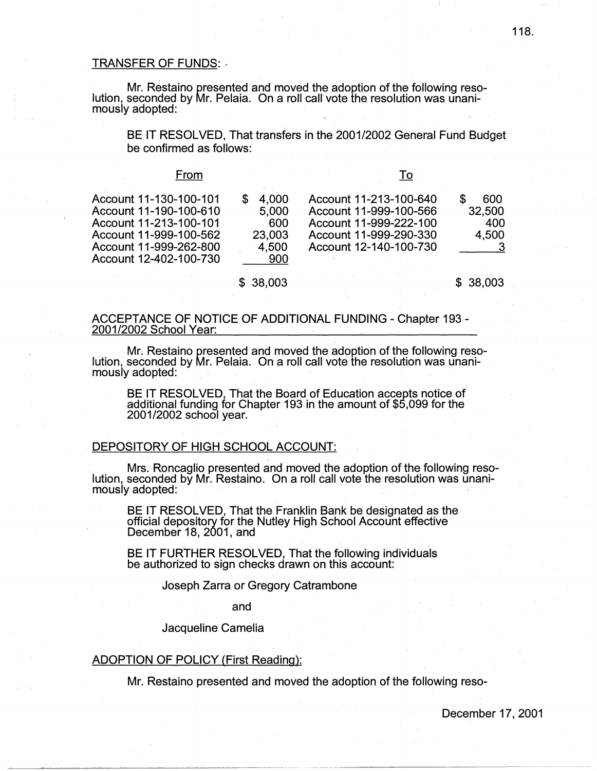#### TRANSFER OF FUNDS:  $\overline{\phantom{a}}$

Mr. Restaino presented and moved the adoption of the following resolution, seconded by Mr. Pelaia. On a roll call vote the resolution was unanimously adopted:

BE IT RESOLVED, That transfers in the 2001/2002 General Fund Budget be confirmed as follows:

#### From

| Account 12-402-100-730 | 4.000<br>5.000<br>600<br>23,003<br>4.500<br>900 | Account 11-213-100-640<br>Account 11-999-100-566<br>Account 11-999-222-100<br>Account 11-999-290-330<br>Account 12-140-100-730 | 600<br>32,500<br>400<br>4.500 |
|------------------------|-------------------------------------------------|--------------------------------------------------------------------------------------------------------------------------------|-------------------------------|
|                        |                                                 |                                                                                                                                |                               |

\$ 38,003 \$ 38,003

### ACCEPTANCE OF NOTICE OF ADDITIONAL FUNDING - Chapter 193 - 2001/2002 School Year:

Mr. Restaino presented and moved the adoption of the following resolution, seconded byMr. Pelaia. On a roll call vote the resolution was unanimously adopted:

BE IT RESOLVED, That the Board of Education accepts notice of additional funding for Chapter 193 in the amount of \$5,099 for the 2001/2002 school year.

# DEPOSITORY OF HIGH SCHOOL ACCOUNT:

. Mrs. Roncaglio presented and moved the adoption of the following resolution, seconded by Mr. Restaino. On a roll call vote the resolution was unanimously adopted:

BE IT RESOLVED, That the Franklin Bank be designated as the official depository for the Nutley High School Account effective December 18, 2001, and

BE IT FURTHER RESOLVED, That the following individuals be authorized to sign checks drawn on this account:

#### Joseph Zarra or Gregory Catrambone

and

#### Jacqueline Camelia

### ADOPTION OF POLICY (First Reading):

Mr. Restaino presented and moved the adoption of the following reso-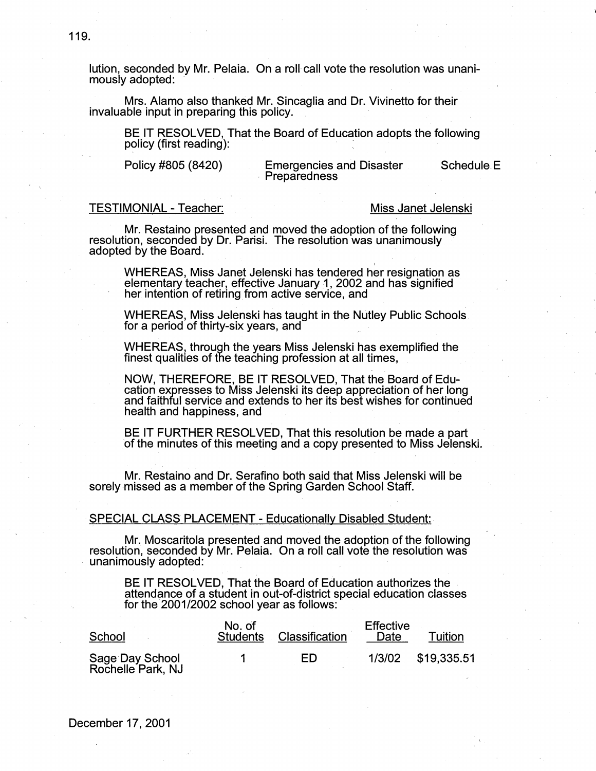lution, seconded by Mr. Pelaia. On a roll call vote the resolution was unanimously adopted:

Mrs. Alamo also thanked Mr. Sincaglia and Dr. Vivinetto for their invaluable input in preparing this policy.

BE IT RESOLVED, That the Board of Education adopts the following policy (first reading):

Policy #805 (8420) Emergencies and Disaster Schedule E<br>Preparedness

### TESTIMONIAL-Teacher: Miss Janet Jelenski

Mr. Restaino presented and moved the adoption of the following resolution, seconded by Dr. Parisi. The resolution was unanimously adopted by the Board.

' WHEREAS, Miss Janet Jelenski has tendered her resignation as elementary teacher, effective January 1, 2002 and has signified her intention of retiring from active service, and

WHEREAS, Miss Jelenski has taught in the Nutley Public Schools for a period of thirty-six years, and

WHEREAS, through the years Miss Jelenski has exemplified the finest qualities of the teaching profession at all times,

NOW, THEREFORE, BE IT RESOLVED, That the Board of Edu-<br>cation expresses to Miss Jelenski its deep appreciation of her long and faithful service and extends to her its best wishes for continued health and happiness, and

BE IT FURTHER RESOLVED, That this resolution be made a part ·of the minutes of this meeting and a copy presented to Miss Jelenski.

Mr. Restaino and Dr. Serafino both said that Miss Jelenski will be sorely missed as a member of the Spring Garden School Staff.

### SPECIAL CLASS PLACEMENT - Educationally Disabled Student:.

Mr. Moscaritola presented and moved the adoption of the following resolution, seconded by Mr. Pelaia. On a roll call vote the resolution was unanimously adopted:

BE IT RESOLVED, That the Board of Education authorizes the .<br>attendance of a student in out-of-district special education classes for the 2001/2002 school year as follows:

| School                               | No. of<br><b>Students</b> | Classification | <b>Effective</b><br>Date | Tuition            |
|--------------------------------------|---------------------------|----------------|--------------------------|--------------------|
| Sage Day School<br>Rochelle Park, NJ |                           | FD             |                          | 1/3/02 \$19,335.51 |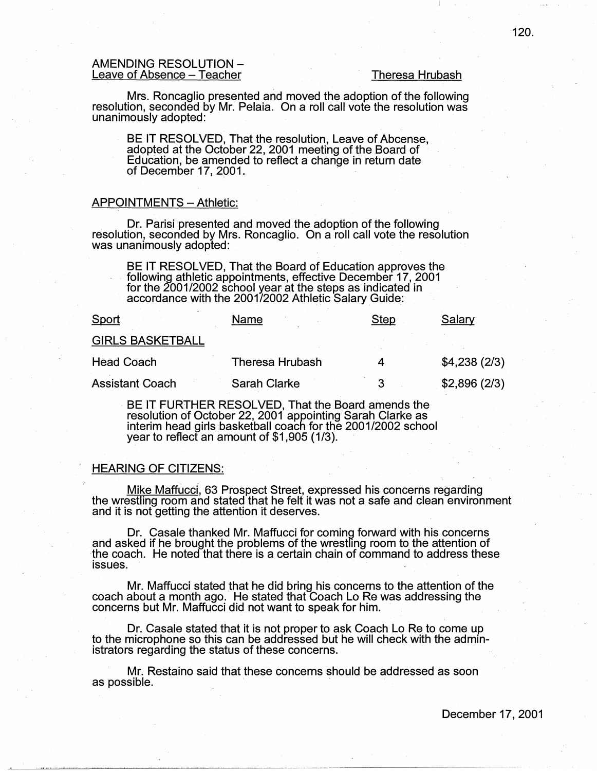### AMENDING RESOLUTION - Leave of Absence – Teacher Theresa Hrubash

Mrs. Roncaglio presented and moved the adoption of the following resolution, seconded by Mr. Pelaia. On a roll call vote the resolution was unanimously adopted:

BE IT RESOLVED, That the resolution, Leave of Abcense, adopted at the October 22, 2001 meeting of the Board of Education, be amended to reflect a change in return date of December 17, 2001.

#### APPOINTMENTS - Athletic:

Dr. Parisi presented and moved the adoption of the following resolution, seconded by Mrs. Roncaglio. On a roll call vote the resolution was unanimously adopted:

BE IT RESOLVED, That the Board of Education approves the following athletic appointments, effective December 17, 2001 for the 2001/2002 school year at the steps as indicated in accordance with the 2001/2002 Athletic Salary Guide:

| Sport                   | Name                | Step | Salary       |
|-------------------------|---------------------|------|--------------|
| <b>GIRLS BASKETBALL</b> |                     |      |              |
| <b>Head Coach</b>       | Theresa Hrubash     |      | \$4,238(2/3) |
| <b>Assistant Coach</b>  | <b>Sarah Clarke</b> | 2    | \$2,896(2/3) |

BE IT FURTHER RESOLVED, That the Board amends the resolution of October 22, 2001 appointing Sarah Clarke as interim head girls basketball coach for the 2001/2002 school year to reflect an amount of \$1,905 (1/3).

#### HEARING OF CITIZENS:

Mike Maffucci, 63 Prospect Street, expressed his concerns regarding the wrestling room and stated that he felt it was not a safe and clean environment and it is not getting the attention it deserves.

Dr. Casale thanked Mr. Maffucci for coming forward with his concerns and asked if he brought the problems of the wrestling room to the attention of the coach. He noted that there is a certain chain of command to address these issues.

Mr. Maffucci stated that he did bring his concerns to the attention of the coach about a month ago. He stated that Coach Lo Re was addressing the concerns but Mr. Maffucci did not want to speak for him.

Dr. Casale stated that it is not proper to ask Coach Lo Re to come up to the microphone so this can be addressed but he will check with the administrators regarding the status of these concerns.

Mr. Restaino said that these concerns should be addressed as soon as possible.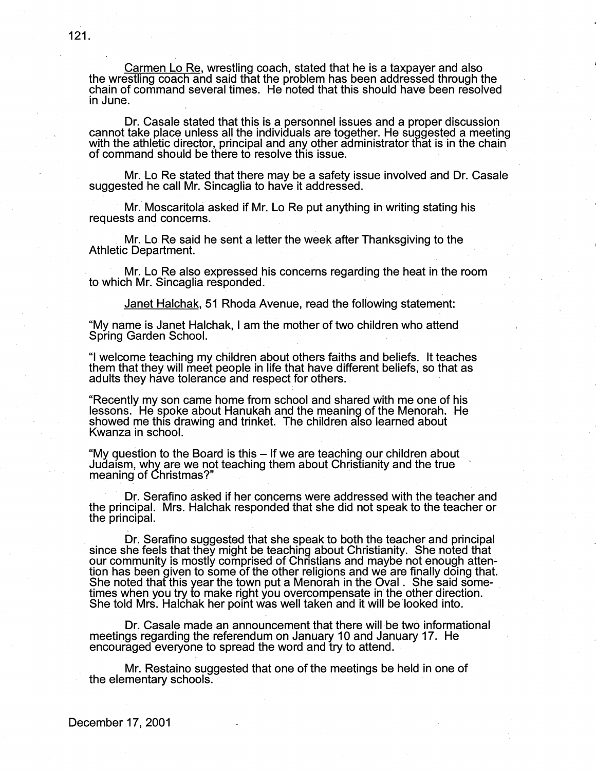Carmen Lo Re, wrestling coach, stated that he is a taxpayer and also the wrestling coach and said that the problem has been addressed through the chain of command several times. He noted that this should have been resolved in June.

Dr. Casale stated that this is a personnel issues and a proper discussion cannot take place unless all the individuals are together. He suggested a meeting with the athletic director, principal and any other administrator that is in the chain of command should be there to resolve this issue.

Mr. Lo Re stated that there may be a safety issue involved and Dr. Casale suggested he call Mr. Sincaglia to have it addressed.

Mr. Moscaritola asked if Mr. Lo Re put anything in writing stating his requests and concerns.

Mr. Lo Re said he sent a letter the week after Thanksgiving to the Athletic Department.

· Mr. Lo Re also expressed his concerns regarding the heat in the room to which Mr. Sincaglia responded. '

Janet Halchak, 51 Rhoda Avenue, read the following statement:

"My name is Janet Halchak, I am the mother of two children who attend Spring Garden School. .

"I welcome teaching my children about others faiths and beliefs. It teaches them that they will meet people in life that have different beliefs, so that as adults they have tolerance and respect for others.

"Recently my son came home from school and shared with me one of his lessons. He spoke about Hanukah and the meaning of the Menorah. He showed me this drawing and trinket. The children also learned about<br>Kwanza in school.

"My question to the Board is this - If we are teaching our children about<br>Judaism, why are we not teaching them about Christianity and the true<br>meaning of Christmas?"

Dr. Serafino asked if her concerns were addressed with the teacher and the principal. Mrs. Halchak responded that she did not speak to the teacher or . the principal.

Dr. Serafino suggested that she speak to both the teacher and principal since she feels that they might be teaching about Christianity. She noted that our community is mostly comprised of Christians and maybe not enough attention has been given to some of the other religions and we are finally doing that. She noted that this year the town put a Menorah in the Oval. She said sometimes when you try to make right you overcompensate in the other direction. She told Mrs. Halchak her point was well taken and it will be looked into.

Dr. Casale made an announcement that there will be two informational meetings regarding the referendum on January 10 and January 17. He encouraged everyone to spread the word and try to attend.

Mr. Restaino suggested that one of the meetings be held in one of the elementary schools.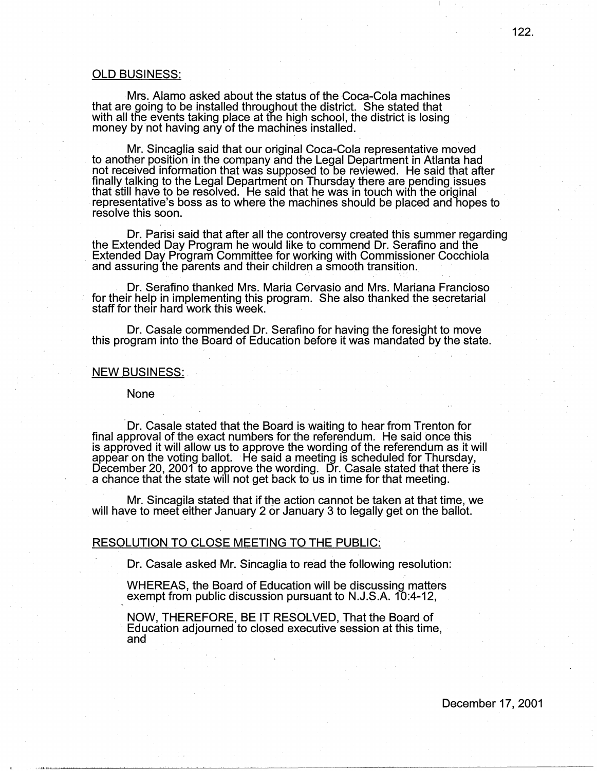#### OLD BUSINESS:

Mrs. Alamo asked about the status of the Coca-Cola machines that are going to be installed throughout the district. She stated that with all the events taking place at the high school, the district is losing money by not having any of the machines installed.

Mr. Sincaglia said that our original Coca-Cola representative moved to another position in the company and the Legal Department in Atlanta had not received information that was supposed to be reviewed. He said that after finally talking to the Legal Department on Thursday there are pending issues that still have to be resolved. He said that he was in touch with the original representative's boss as to where the machines should be placed and hopes to resolve this soon.

. Dr. Parisi said that after all the controversy created this summer regarding the Extended Day Program he would like to commend Dr. Serafino and the Extended Day Program Committee for working with Commissioner Cocchiola and assuring the parents and their children a smooth transition.

Dr. Serafino thanked Mrs. Maria Gervasio and Mrs. Mariana Franciosa for their help in implementing this program. She also thanked the secretarial staff for their hard work this week.

Dr. Casale commended Dr. Serafino for having the foresight to move this program into the Board of Education before it was mandated by the state.

### NEW BUSINESS:

#### None

· Dr. Casale stated that the Board is waiting to hear from Trenton for final approval of the exact numbers for the referendum. He said once this is approved it will allow us to approve the wording of the referendum as it will appear on the voting ballot. He said a meeting is scheduled for Thursday,<br>December 20, 2001 to approve the wording. Dr. Casale stated that there is a chance that the state will not get back to us in time for that meeting.

Mr. Sincagila stated that if the action cannot be taken at that time, we will have to meet either January 2 or January 3 to legally get on the ballot.

#### RESOLUTION TO CLOSE MEETING TO THE PUBLIC:

Dr. Casale asked Mr. Sincaglia to read the following resolution:

WHEREAS, the Board of Education will be discussing matters exempt from public discussion pursuant to N.J.S.A. 10:4-12,

NOW, THEREFORE, BE IT RESOLVED, That the Board of Education adjourned to closed executive session at this time, and